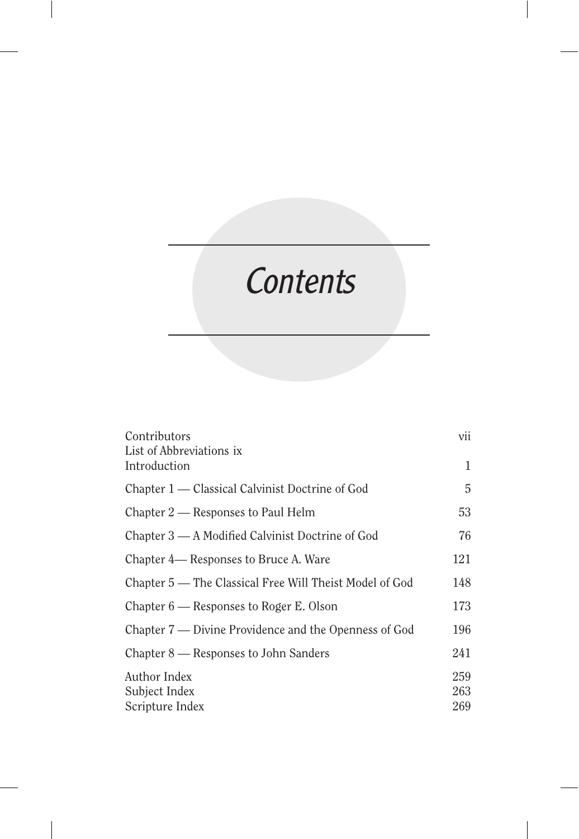# Contents

| Contributors<br>List of Abbreviations ix                | vii        |
|---------------------------------------------------------|------------|
| Introduction                                            | 1          |
| Chapter 1 — Classical Calvinist Doctrine of God         | 5          |
| Chapter 2 — Responses to Paul Helm                      | 53         |
| Chapter 3 - A Modified Calvinist Doctrine of God        | 76         |
| Chapter 4— Responses to Bruce A. Ware                   | 121        |
| Chapter 5 — The Classical Free Will Theist Model of God | 148        |
| Chapter $6$ — Responses to Roger E. Olson               | 173        |
| Chapter 7 — Divine Providence and the Openness of God   | 196        |
| Chapter 8 — Responses to John Sanders                   | 241        |
| Author Index<br>Subject Index                           | 259<br>263 |
| Scripture Index                                         | 269        |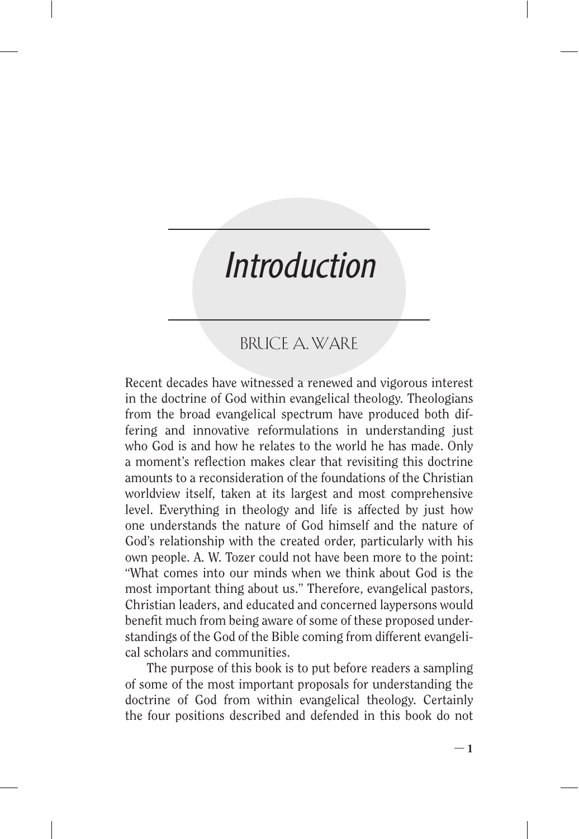## **Introduction**

## BRUCE A. WARE

Recent decades have witnessed a renewed and vigorous interest in the doctrine of God within evangelical theology. Theologians from the broad evangelical spectrum have produced both differing and innovative reformulations in understanding just who God is and how he relates to the world he has made. Only a moment's reflection makes clear that revisiting this doctrine amounts to a reconsideration of the foundations of the Christian worldview itself, taken at its largest and most comprehensive level. Everything in theology and life is affected by just how one understands the nature of God himself and the nature of God's relationship with the created order, particularly with his own people. A. W. Tozer could not have been more to the point: "What comes into our minds when we think about God is the most important thing about us." Therefore, evangelical pastors, Christian leaders, and educated and concerned laypersons would benefit much from being aware of some of these proposed understandings of the God of the Bible coming from different evangelical scholars and communities.

The purpose of this book is to put before readers a sampling of some of the most important proposals for understanding the doctrine of God from within evangelical theology. Certainly the four positions described and defended in this book do not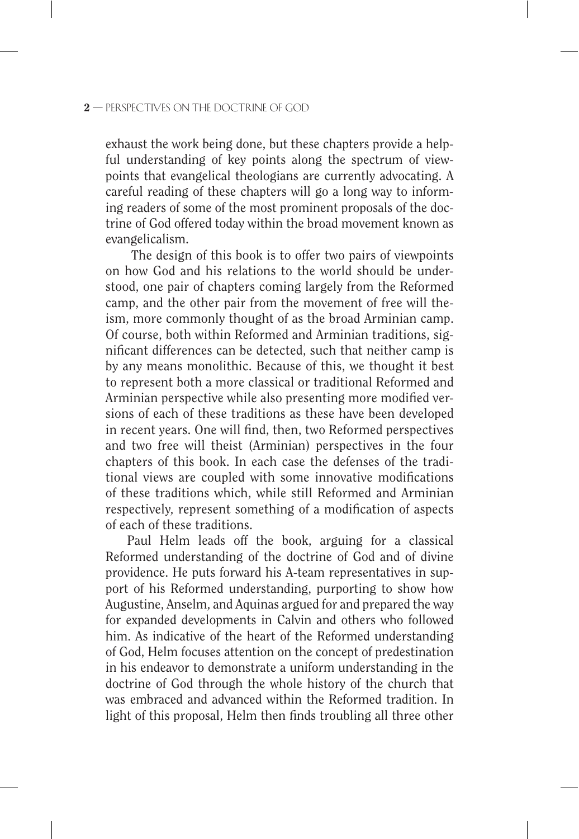### $2$  – PERSPECTIVES ON THE DOCTRINE OF GOD

exhaust the work being done, but these chapters provide a helpful understanding of key points along the spectrum of viewpoints that evangelical theologians are currently advocating. A careful reading of these chapters will go a long way to informing readers of some of the most prominent proposals of the doctrine of God offered today within the broad movement known as evangelicalism.

 The design of this book is to offer two pairs of viewpoints on how God and his relations to the world should be understood, one pair of chapters coming largely from the Reformed camp, and the other pair from the movement of free will theism, more commonly thought of as the broad Arminian camp. Of course, both within Reformed and Arminian traditions, significant differences can be detected, such that neither camp is by any means monolithic. Because of this, we thought it best to represent both a more classical or traditional Reformed and Arminian perspective while also presenting more modified versions of each of these traditions as these have been developed in recent years. One will find, then, two Reformed perspectives and two free will theist (Arminian) perspectives in the four chapters of this book. In each case the defenses of the traditional views are coupled with some innovative modifications of these traditions which, while still Reformed and Arminian respectively, represent something of a modification of aspects of each of these traditions.

Paul Helm leads off the book, arguing for a classical Reformed understanding of the doctrine of God and of divine providence. He puts forward his A-team representatives in support of his Reformed understanding, purporting to show how Augustine, Anselm, and Aquinas argued for and prepared the way for expanded developments in Calvin and others who followed him. As indicative of the heart of the Reformed understanding of God, Helm focuses attention on the concept of predestination in his endeavor to demonstrate a uniform understanding in the doctrine of God through the whole history of the church that was embraced and advanced within the Reformed tradition. In light of this proposal, Helm then finds troubling all three other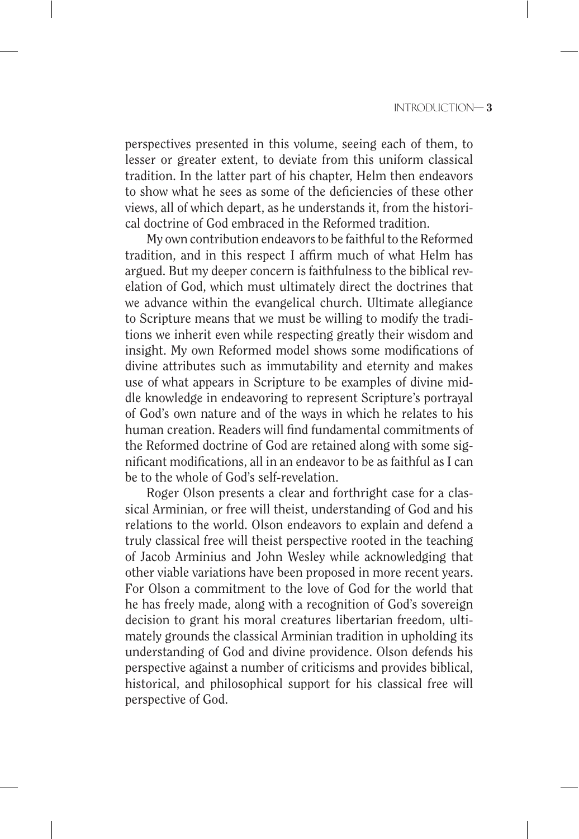perspectives presented in this volume, seeing each of them, to lesser or greater extent, to deviate from this uniform classical tradition. In the latter part of his chapter, Helm then endeavors to show what he sees as some of the deficiencies of these other views, all of which depart, as he understands it, from the historical doctrine of God embraced in the Reformed tradition.

My own contribution endeavors to be faithful to the Reformed tradition, and in this respect I affirm much of what Helm has argued. But my deeper concern is faithfulness to the biblical revelation of God, which must ultimately direct the doctrines that we advance within the evangelical church. Ultimate allegiance to Scripture means that we must be willing to modify the traditions we inherit even while respecting greatly their wisdom and insight. My own Reformed model shows some modifications of divine attributes such as immutability and eternity and makes use of what appears in Scripture to be examples of divine middle knowledge in endeavoring to represent Scripture's portrayal of God's own nature and of the ways in which he relates to his human creation. Readers will find fundamental commitments of the Reformed doctrine of God are retained along with some significant modifications, all in an endeavor to be as faithful as I can be to the whole of God's self-revelation.

Roger Olson presents a clear and forthright case for a classical Arminian, or free will theist, understanding of God and his relations to the world. Olson endeavors to explain and defend a truly classical free will theist perspective rooted in the teaching of Jacob Arminius and John Wesley while acknowledging that other viable variations have been proposed in more recent years. For Olson a commitment to the love of God for the world that he has freely made, along with a recognition of God's sovereign decision to grant his moral creatures libertarian freedom, ultimately grounds the classical Arminian tradition in upholding its understanding of God and divine providence. Olson defends his perspective against a number of criticisms and provides biblical, historical, and philosophical support for his classical free will perspective of God.